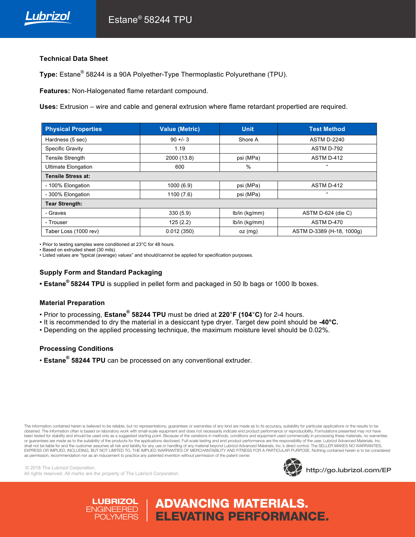

## **Technical Data Sheet**

**Type:** Estane® 58244 is a 90A Polyether-Type Thermoplastic Polyurethane (TPU).

**Features:** Non-Halogenated flame retardant compound.

**Uses:** Extrusion – wire and cable and general extrusion where flame retardant propertied are required.

| <b>Physical Properties</b> | <b>Value (Metric)</b> | <b>Unit</b>   | <b>Test Method</b>        |
|----------------------------|-----------------------|---------------|---------------------------|
| Hardness (5 sec)           | $90 + 3$              | Shore A       | <b>ASTM D-2240</b>        |
| Specific Gravity           | 1.19                  |               | ASTM D-792                |
| <b>Tensile Strength</b>    | 2000 (13.8)           | psi (MPa)     | ASTM D-412                |
| <b>Ultimate Elongation</b> | 600                   | $\%$          | $\epsilon\epsilon$        |
| Tensile Stress at:         |                       |               |                           |
| - 100% Elongation          | 1000(6.9)             | psi (MPa)     | ASTM D-412                |
| - 300% Elongation          | 1100(7.6)             | psi (MPa)     | $\epsilon\epsilon$        |
| <b>Tear Strength:</b>      |                       |               |                           |
| - Graves                   | 330(5.9)              | lb/in (kg/mm) | ASTM D-624 (die C)        |
| - Trouser                  | 125(2.2)              | lb/in (kg/mm) | ASTM D-470                |
| Taber Loss (1000 rev)      | 0.012(350)            | $oz$ (mg)     | ASTM D-3389 (H-18, 1000g) |

• Prior to testing samples were conditioned at 23°C for 48 hours.

• Based on extruded sheet (30 mils).

• Listed values are "typical (average) values" and should/cannot be applied for specification purposes.

# **Supply Form and Standard Packaging**

**• Estane® 58244 TPU** is supplied in pellet form and packaged in 50 lb bags or 1000 lb boxes.

#### **Material Preparation**

- Prior to processing, **Estane® 58244 TPU** must be dried at **220**°**F (104**°**C)** for 2-4 hours.
- It is recommended to dry the material in a desiccant type dryer. Target dew point should be **-40°C.**
- Depending on the applied processing technique, the maximum moisture level should be 0.02%.

## **Processing Conditions**

• **Estane® 58244 TPU** can be processed on any conventional extruder.

The information contained herein is believed to be reliable, but no representations, guarantees or warranties of any kind are made as to its accuracy, suitability for particular applications or the results to be obtained. The information often is based on laboratory work with small-scale equipment and does not necessarily indicate end product performance or reproducibility. Formulations presented may not have been tested for stability and should be used only as a suggested starting point. Because of the variations in methods, conditions and equipment used commercially in processing these materials, no warranties or guarantees are made as to the suitability of the products for the applications disclosed. Full-scale testing and end product performance are the responsibility of the user. Lubrizol Advanced Materials, Inc. shall not be liable for and the customer assumes all risk and liability for any use or handling of any material beyond Lubrizol Advanced Materials, Inc.'s direct control. The SELLER MAKES NO WARRANTIES, EXPRESS OR IMPLIED, INCLUDING, BUT NOT LIMITED TO, THE IMPLIED WARRANTIES OF MERCHANTABILITY AND FITNESS FOR A PARTICULAR PURPOSE. Nothing contained herein is to be considered as permission, recommendation nor as an inducement to practice any patented invention without permission of the patent owner.

ADVANCING MATERIALS.

ELEVATING PERFORMANCE.

© 2018 The Lubrizol Corporation. All rights reserved. All marks are the property of The Lubrizol Corporation.